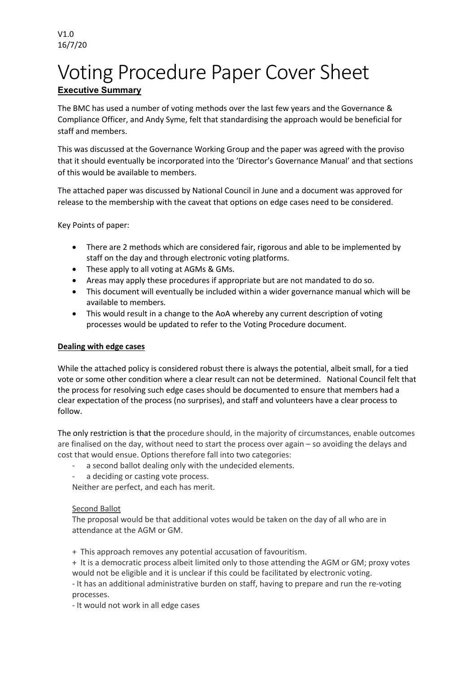# Voting Procedure Paper Cover Sheet **Executive Summary**

The BMC has used a number of voting methods over the last few years and the Governance & Compliance Officer, and Andy Syme, felt that standardising the approach would be beneficial for staff and members.

This was discussed at the Governance Working Group and the paper was agreed with the proviso that it should eventually be incorporated into the 'Director's Governance Manual' and that sections of this would be available to members.

The attached paper was discussed by National Council in June and a document was approved for release to the membership with the caveat that options on edge cases need to be considered.

Key Points of paper:

- There are 2 methods which are considered fair, rigorous and able to be implemented by staff on the day and through electronic voting platforms.
- These apply to all voting at AGMs & GMs.
- Areas may apply these procedures if appropriate but are not mandated to do so.
- This document will eventually be included within a wider governance manual which will be available to members.
- This would result in a change to the AoA whereby any current description of voting processes would be updated to refer to the Voting Procedure document.

### **Dealing with edge cases**

While the attached policy is considered robust there is always the potential, albeit small, for a tied vote or some other condition where a clear result can not be determined. National Council felt that the process for resolving such edge cases should be documented to ensure that members had a clear expectation of the process (no surprises), and staff and volunteers have a clear process to follow.

The only restriction is that the procedure should, in the majority of circumstances, enable outcomes are finalised on the day, without need to start the process over again – so avoiding the delays and cost that would ensue. Options therefore fall into two categories:

- a second ballot dealing only with the undecided elements.
- a deciding or casting vote process.

Neither are perfect, and each has merit.

### Second Ballot

The proposal would be that additional votes would be taken on the day of all who are in attendance at the AGM or GM.

+ This approach removes any potential accusation of favouritism.

+ It is a democratic process albeit limited only to those attending the AGM or GM; proxy votes would not be eligible and it is unclear if this could be facilitated by electronic voting.

- It has an additional administrative burden on staff, having to prepare and run the re-voting processes.

- It would not work in all edge cases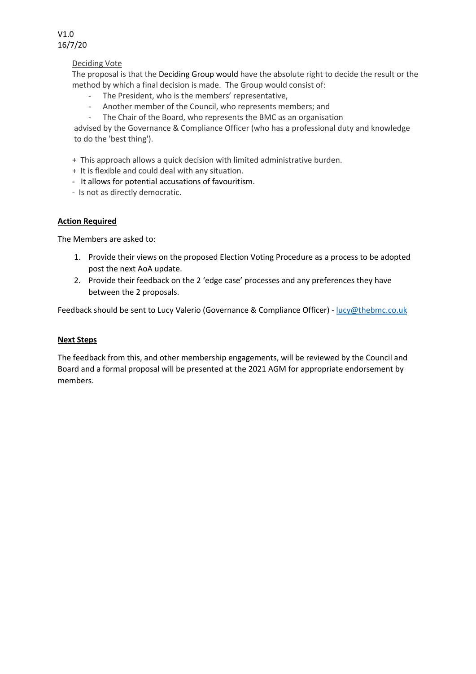

### Deciding Vote

The proposal is that the Deciding Group would have the absolute right to decide the result or the method by which a final decision is made. The Group would consist of:

- The President, who is the members' representative,
- Another member of the Council, who represents members; and
- The Chair of the Board, who represents the BMC as an organisation

advised by the Governance & Compliance Officer (who has a professional duty and knowledge to do the 'best thing').

+ This approach allows a quick decision with limited administrative burden.

- + It is flexible and could deal with any situation.
- It allows for potential accusations of favouritism.
- Is not as directly democratic.

### **Action Required**

The Members are asked to:

- 1. Provide their views on the proposed Election Voting Procedure as a process to be adopted post the next AoA update.
- 2. Provide their feedback on the 2 'edge case' processes and any preferences they have between the 2 proposals.

Feedback should be sent to Lucy Valerio (Governance & Compliance Officer) - lucy@thebmc.co.uk

### **Next Steps**

The feedback from this, and other membership engagements, will be reviewed by the Council and Board and a formal proposal will be presented at the 2021 AGM for appropriate endorsement by members.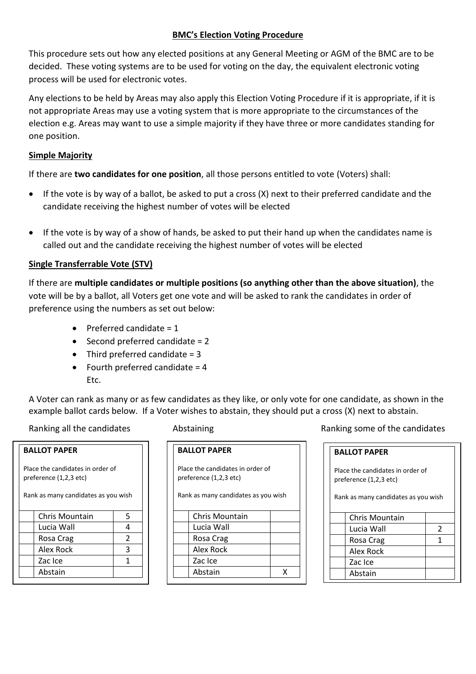### **BMC͛s Election Voting Procedure**

This procedure sets out how any elected positions at any General Meeting or AGM of the BMC are to be decided. These voting systems are to be used for voting on the day, the equivalent electronic voting process will be used for electronic votes.

Any elections to be held by Areas may also apply this Election Voting Procedure if it is appropriate, if it is not appropriate Areas may use a voting system that is more appropriate to the circumstances of the election e.g. Areas may want to use a simple majority if they have three or more candidates standing for one position.

### **Simple Majority**

If there are **two candidates for one position**, all those persons entitled to vote (Voters) shall:

- $\bullet$  If the vote is by way of a ballot, be asked to put a cross (X) next to their preferred candidate and the candidate receiving the highest number of votes will be elected
- If the vote is by way of a show of hands, be asked to put their hand up when the candidates name is called out and the candidate receiving the highest number of votes will be elected

### **Single Transferrable Vote (STV)**

If there are **multiple candidates or multiple positions (so anything other than the above situation)**, the vote will be by a ballot, all Voters get one vote and will be asked to rank the candidates in order of preference using the numbers as set out below:

- $\bullet$  Preferred candidate = 1
- $\bullet$  Second preferred candidate = 2
- $\bullet$  Third preferred candidate = 3
- Fourth preferred candidate  $= 4$ Etc.

A Voter can rank as many or as few candidates as they like, or only vote for one candidate, as shown in the example ballot cards below. If a Voter wishes to abstain, they should put a cross (X) next to abstain.

**BALLOT PAPER**

Abstain

## Place the candidates in order of preference (1,2,3 etc) Rank as many candidates as you wish Chris Mountain 5 Lucia Wall  $\begin{array}{ccc} 4 \end{array}$ Rosa Crag 2 Alex Rock 3 Zac Ice 1 1

**BALLOT PAPER** Place the candidates in order of

preference (1,2,3 etc)

Rank as many candidates as you wish

| Chris Mountain |  |
|----------------|--|
| Lucia Wall     |  |
| Rosa Crag      |  |
| Alex Rock      |  |
| Zac Ice        |  |
| Abstain        |  |

Ranking all the candidates Abstaining Ranking some of the candidates

# **BALLOT PAPER**

Place the candidates in order of preference (1,2,3 etc)

Rank as many candidates as you wish

| Chris Mountain |  |
|----------------|--|
| Lucia Wall     |  |
| Rosa Crag      |  |
| Alex Rock      |  |
| Zac Ice        |  |
| Abstain        |  |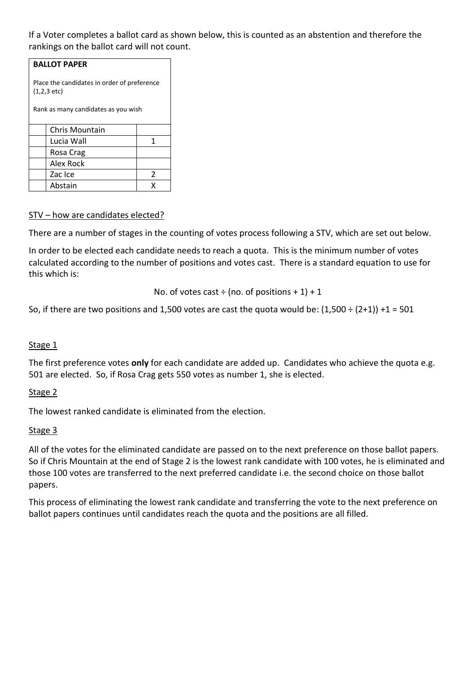If a Voter completes a ballot card as shown below, this is counted as an abstention and therefore the rankings on the ballot card will not count.

| <b>BALLOT PAPER</b>                                                  |   |  |  |
|----------------------------------------------------------------------|---|--|--|
| Place the candidates in order of preference<br>$(1,2,3 \text{ etc})$ |   |  |  |
| Rank as many candidates as you wish                                  |   |  |  |
| Chris Mountain                                                       |   |  |  |
| Lucia Wall                                                           | 1 |  |  |
| Rosa Crag                                                            |   |  |  |
| Alex Rock                                                            |   |  |  |
| Zac Ice                                                              | 2 |  |  |
| Abstain                                                              |   |  |  |

### STV – how are candidates elected?

There are a number of stages in the counting of votes process following a STV, which are set out below.

In order to be elected each candidate needs to reach a quota. This is the minimum number of votes calculated according to the number of positions and votes cast. There is a standard equation to use for this which is:

No. of votes cast ÷ (no. of positions 
$$
+1
$$
) + 1

So, if there are two positions and 1,500 votes are cast the quota would be:  $(1,500 \div (2+1)) + 1 = 501$ 

### Stage 1

The first preference votes **only** for each candidate are added up. Candidates who achieve the quota e.g. 501 are elected. So, if Rosa Crag gets 550 votes as number 1, she is elected.

### Stage 2

The lowest ranked candidate is eliminated from the election.

### Stage 3

All of the votes for the eliminated candidate are passed on to the next preference on those ballot papers. So if Chris Mountain at the end of Stage 2 is the lowest rank candidate with 100 votes, he is eliminated and those 100 votes are transferred to the next preferred candidate i.e. the second choice on those ballot papers.

This process of eliminating the lowest rank candidate and transferring the vote to the next preference on ballot papers continues until candidates reach the quota and the positions are all filled.